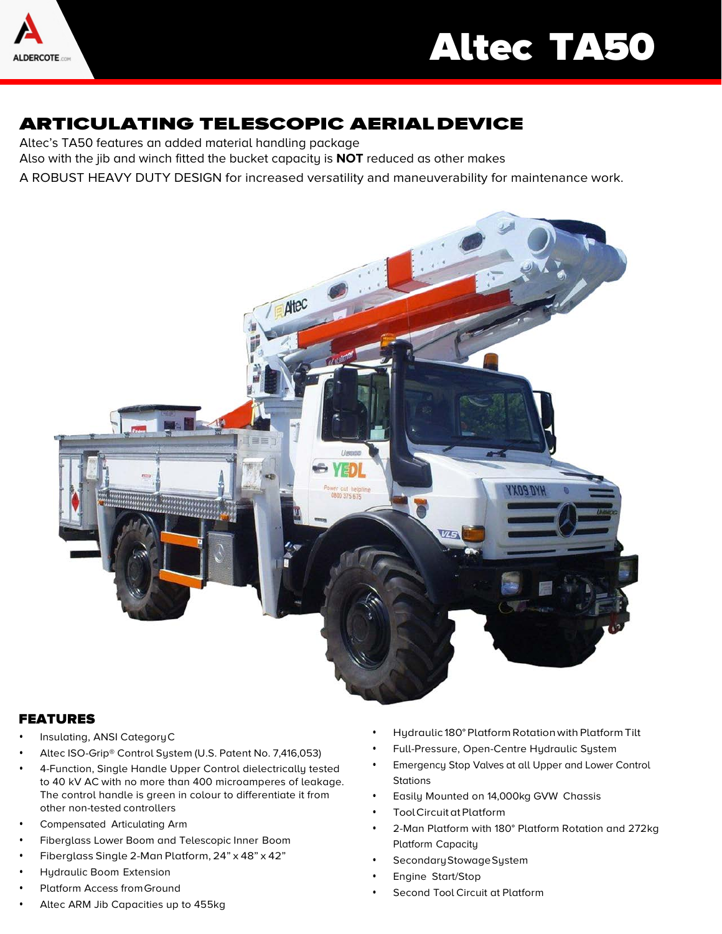

# Altec TA50

## ARTICULATING TELESCOPIC AERIALDEVICE

Altec's TA50 features an added material handling package

Also with the jib and winch fitted the bucket capacity is **NOT** reduced as other makes

A ROBUST HEAVY DUTY DESIGN for increased versatility and maneuverability for maintenance work.



#### FEATURES

- Insulating, ANSI CategoryC
- Altec ISO-Grip® Control System (U.S. Patent No. 7,416,053)
- 4-Function, Single Handle Upper Control dielectrically tested to 40 kV AC with no more than 400 microamperes of leakage. The control handle is green in colour to differentiate it from other non-tested controllers
- Compensated Articulating Arm
- Fiberglass Lower Boom and Telescopic Inner Boom
- Fiberglass Single 2-Man Platform, 24" x 48" x 42"
- Hydraulic Boom Extension
- Platform Access from Ground
- Altec ARM Jib Capacities up to 455kg
- Hydraulic 180° Platform Rotationwith Platform Tilt
- Full-Pressure, Open-Centre Hydraulic System
- Emergency Stop Valves at all Upper and Lower Control **Stations**
- Easily Mounted on 14,000kg GVW Chassis
- Tool Circuit at Platform
- 2-Man Platform with 180° Platform Rotation and 272kg Platform Capacity
- Secondary Stowage System
- Engine Start/Stop
- Second Tool Circuit at Platform